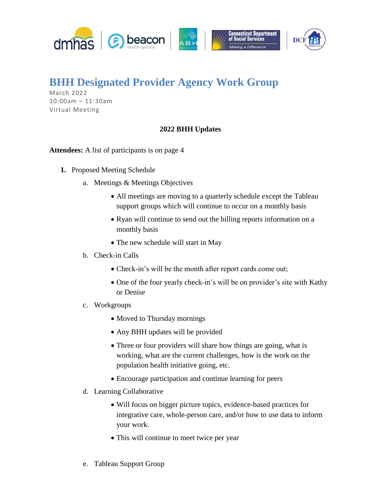

## **BHH Designated Provider Agency Work Group**

March 2022 10:00am – 11:30am Virtual Meeting

## **2022 BHH Updates**

**Attendees:** A list of participants is on page 4

- **1.** Proposed Meeting Schedule
	- a. Meetings & Meetings Objectives
		- All meetings are moving to a quarterly schedule except the Tableau support groups which will continue to occur on a monthly basis
		- Ryan will continue to send out the billing reports information on a monthly basis
		- The new schedule will start in May
	- b. Check-in Calls
		- Check-in's will be the month after report cards come out;
		- One of the four yearly check-in's will be on provider's site with Kathy or Denise
	- c. Workgroups
		- Moved to Thursday mornings
		- Any BHH updates will be provided
		- Three or four providers will share how things are going, what is working, what are the current challenges, how is the work on the population health initiative going, etc.
		- Encourage participation and continue learning for peers
	- d. Learning Collaborative
		- Will focus on bigger picture topics, evidence-based practices for integrative care, whole-person care, and/or how to use data to inform your work.
		- This will continue to meet twice per year
	- e. Tableau Support Group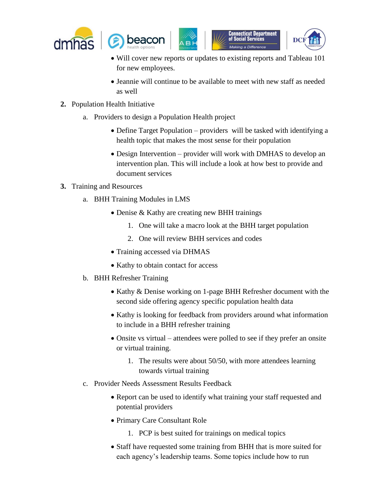



- Will cover new reports or updates to existing reports and Tableau 101 for new employees.
- Jeannie will continue to be available to meet with new staff as needed as well
- **2.** Population Health Initiative
	- a. Providers to design a Population Health project
		- Define Target Population providers will be tasked with identifying a health topic that makes the most sense for their population
		- Design Intervention provider will work with DMHAS to develop an intervention plan. This will include a look at how best to provide and document services
- **3.** Training and Resources
	- a. BHH Training Modules in LMS
		- Denise & Kathy are creating new BHH trainings
			- 1. One will take a macro look at the BHH target population
			- 2. One will review BHH services and codes
		- Training accessed via DHMAS
		- Kathy to obtain contact for access
	- b. BHH Refresher Training
		- Kathy & Denise working on 1-page BHH Refresher document with the second side offering agency specific population health data
		- Kathy is looking for feedback from providers around what information to include in a BHH refresher training
		- Onsite vs virtual attendees were polled to see if they prefer an onsite or virtual training.
			- 1. The results were about 50/50, with more attendees learning towards virtual training
	- c. Provider Needs Assessment Results Feedback
		- Report can be used to identify what training your staff requested and potential providers
		- Primary Care Consultant Role
			- 1. PCP is best suited for trainings on medical topics
		- Staff have requested some training from BHH that is more suited for each agency's leadership teams. Some topics include how to run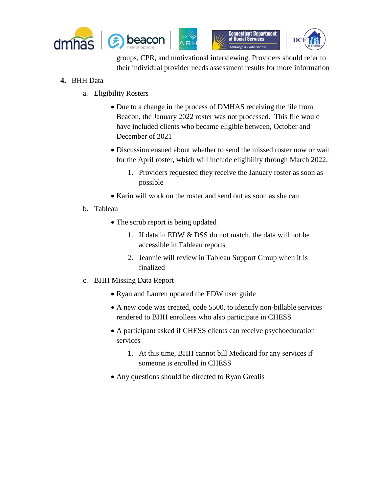



groups, CPR, and motivational interviewing. Providers should refer to their individual provider needs assessment results for more information

## **4.** BHH Data

- a. Eligibility Rosters
	- Due to a change in the process of DMHAS receiving the file from Beacon, the January 2022 roster was not processed. This file would have included clients who became eligible between, October and December of 2021
	- Discussion ensued about whether to send the missed roster now or wait for the April roster, which will include eligibility through March 2022.
		- 1. Providers requested they receive the January roster as soon as possible
	- Karin will work on the roster and send out as soon as she can
- b. Tableau
	- The scrub report is being updated
		- 1. If data in EDW & DSS do not match, the data will not be accessible in Tableau reports
		- 2. Jeannie will review in Tableau Support Group when it is finalized
- c. BHH Missing Data Report
	- Ryan and Lauren updated the EDW user guide
	- A new code was created, code 5500, to identify non-billable services rendered to BHH enrollees who also participate in CHESS
	- A participant asked if CHESS clients can receive psychoeducation services
		- 1. At this time, BHH cannot bill Medicaid for any services if someone is enrolled in CHESS
	- Any questions should be directed to Ryan Grealis